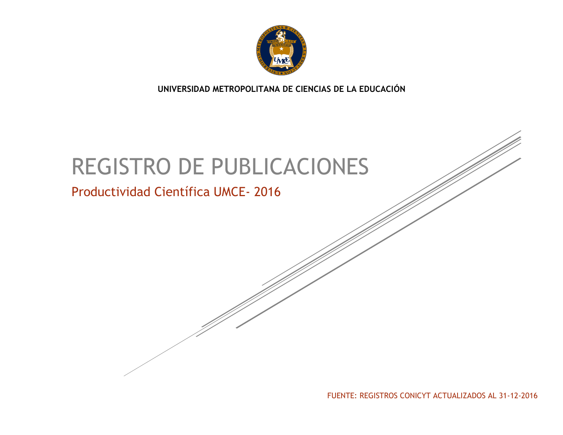

**UNIVERSIDAD METROPOLITANA DE CIENCIAS DE LA EDUCACIÓN**

# REGISTRO DE PUBLICACIONES

## Productividad Científica UMCE- 2016

FUENTE: REGISTROS CONICYT ACTUALIZADOS AL 31-12-2016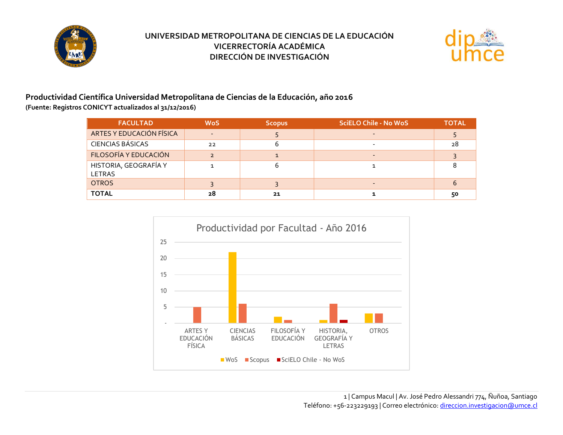



#### **Productividad Científica Universidad Metropolitana de Ciencias de la Educación, año 2016 (Fuente: Registros CONICYT actualizados al 31/12/2016)**

| <b>FACULTAD</b>                 | <b>WoS</b>               | <b>Scopus</b> | <b>SciELO Chile - No WoS</b> | <b>TOTAL</b> |
|---------------------------------|--------------------------|---------------|------------------------------|--------------|
| ARTES Y EDUCACIÓN FÍSICA        | $\overline{\phantom{0}}$ |               |                              |              |
| <b>CIENCIAS BÁSICAS</b>         | 22                       |               |                              | 28           |
| FILOSOFÍA Y EDUCACIÓN           |                          |               |                              |              |
| HISTORIA, GEOGRAFÍA Y<br>LETRAS |                          | n             |                              |              |
| <b>OTROS</b>                    |                          |               |                              | 6            |
| <b>TOTAL</b>                    | 28                       | 21            |                              | 50           |

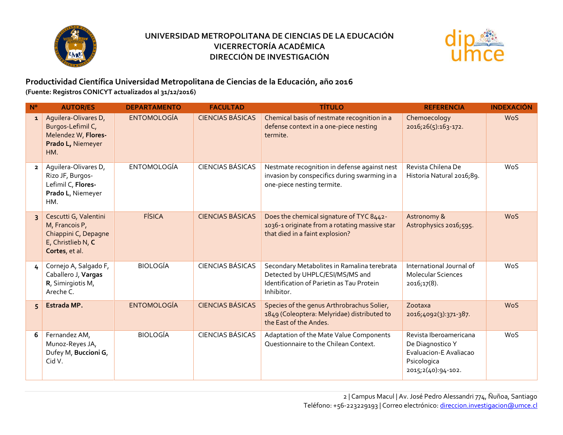



**Productividad Científica Universidad Metropolitana de Ciencias de la Educación, año 2016 (Fuente: Registros CONICYT actualizados al 31/12/2016)**

| $N^{\circ}$    | <b>AUTOR/ES</b>                                                                                         | <b>DEPARTAMENTO</b> | <b>FACULTAD</b>         | <b>TÍTULO</b>                                                                                                                             | <b>REFERENCIA</b>                                                                                         | <b>INDEXACIÓN</b> |
|----------------|---------------------------------------------------------------------------------------------------------|---------------------|-------------------------|-------------------------------------------------------------------------------------------------------------------------------------------|-----------------------------------------------------------------------------------------------------------|-------------------|
| $\mathbf{1}$   | Aquilera-Olivares D,<br>Burgos-Lefimil C,<br>Melendez W, Flores-<br>Prado L, Niemeyer<br>HM.            | <b>ENTOMOLOGÍA</b>  | <b>CIENCIAS BÁSICAS</b> | Chemical basis of nestmate recognition in a<br>defense context in a one-piece nesting<br>termite.                                         | Chemoecology<br>2016;26(5):163-172.                                                                       | <b>WoS</b>        |
| $\overline{2}$ | Aguilera-Olivares D,<br>Rizo JF, Burgos-<br>Lefimil C, Flores-<br>Prado L, Niemeyer<br>HM.              | <b>ENTOMOLOGÍA</b>  | <b>CIENCIAS BÁSICAS</b> | Nestmate recognition in defense against nest<br>invasion by conspecifics during swarming in a<br>one-piece nesting termite.               | Revista Chilena De<br>Historia Natural 2016;89.                                                           | WoS               |
| $\overline{3}$ | Cescutti G, Valentini<br>M, Francois P,<br>Chiappini C, Depagne<br>E, Christlieb N, C<br>Cortes, et al. | <b>FÍSICA</b>       | <b>CIENCIAS BÁSICAS</b> | Does the chemical signature of TYC 8442-<br>1036-1 originate from a rotating massive star<br>that died in a faint explosion?              | Astronomy &<br>Astrophysics 2016;595.                                                                     | <b>WoS</b>        |
| 4              | Cornejo A, Salgado F,<br>Caballero J, Vargas<br>R, Simirgiotis M,<br>Areche C.                          | <b>BIOLOGÍA</b>     | <b>CIENCIAS BÁSICAS</b> | Secondary Metabolites in Ramalina terebrata<br>Detected by UHPLC/ESI/MS/MS and<br>Identification of Parietin as Tau Protein<br>Inhibitor. | International Journal of<br><b>Molecular Sciences</b><br>2016;17(8).                                      | WoS               |
| 5              | Estrada MP.                                                                                             | <b>ENTOMOLOGÍA</b>  | <b>CIENCIAS BÁSICAS</b> | Species of the genus Arthrobrachus Solier,<br>1849 (Coleoptera: Melyridae) distributed to<br>the East of the Andes.                       | Zootaxa<br>2016;4092(3):371-387.                                                                          | <b>WoS</b>        |
| 6              | Fernandez AM,<br>Munoz-Reyes JA,<br>Dufey M, Buccioni G,<br>Cid V.                                      | <b>BIOLOGÍA</b>     | <b>CIENCIAS BÁSICAS</b> | Adaptation of the Mate Value Components<br>Questionnaire to the Chilean Context.                                                          | Revista Iberoamericana<br>De Diagnostico Y<br>Evaluacion-E Avaliacao<br>Psicologica<br>2015;2(40):94-102. | WoS               |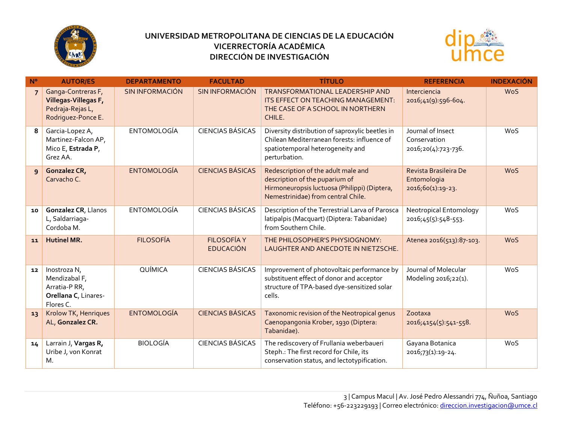



| $N^{\circ}$    | <b>AUTOR/ES</b>                                                                      | <b>DEPARTAMENTO</b>    | <b>FACULTAD</b>                        | <b>TÍTULO</b>                                                                                                                                               | <b>REFERENCIA</b>                                         | <b>INDEXACIÓN</b> |
|----------------|--------------------------------------------------------------------------------------|------------------------|----------------------------------------|-------------------------------------------------------------------------------------------------------------------------------------------------------------|-----------------------------------------------------------|-------------------|
| $\overline{7}$ | Ganga-Contreras F,<br>Villegas-Villegas F,<br>Pedraja-Rejas L,<br>Rodriguez-Ponce E. | <b>SIN INFORMACIÓN</b> | <b>SIN INFORMACIÓN</b>                 | TRANSFORMATIONAL LEADERSHIP AND<br>ITS EFFECT ON TEACHING MANAGEMENT:<br>THE CASE OF A SCHOOL IN NORTHERN<br>CHILE.                                         | Interciencia<br>2016;41(9):596-604.                       | <b>WoS</b>        |
| 8              | Garcia-Lopez A,<br>Martinez-Falcon AP,<br>Mico E, Estrada P,<br>Grez AA.             | <b>ENTOMOLOGÍA</b>     | <b>CIENCIAS BÁSICAS</b>                | Diversity distribution of saproxylic beetles in<br>Chilean Mediterranean forests: influence of<br>spatiotemporal heterogeneity and<br>perturbation.         | Journal of Insect<br>Conservation<br>2016;20(4):723-736.  | WoS               |
| $\overline{9}$ | Gonzalez CR,<br>Carvacho C.                                                          | <b>ENTOMOLOGÍA</b>     | <b>CIENCIAS BÁSICAS</b>                | Redescription of the adult male and<br>description of the puparium of<br>Hirmoneuropsis luctuosa (Philippi) (Diptera,<br>Nemestrinidae) from central Chile. | Revista Brasileira De<br>Entomologia<br>2016;60(1):19-23. | <b>WoS</b>        |
| 10             | Gonzalez CR, Llanos<br>L, Saldarriaga-<br>Cordoba M.                                 | <b>ENTOMOLOGÍA</b>     | <b>CIENCIAS BÁSICAS</b>                | Description of the Terrestrial Larva of Parosca<br>latipalpis (Macquart) (Diptera: Tabanidae)<br>from Southern Chile.                                       | <b>Neotropical Entomology</b><br>2016;45(5):548-553.      | WoS               |
| 11             | <b>Hutinel MR.</b>                                                                   | <b>FILOSOFÍA</b>       | <b>FILOSOFÍA Y</b><br><b>EDUCACIÓN</b> | THE PHILOSOPHER'S PHYSIOGNOMY:<br>LAUGHTER AND ANECDOTE IN NIETZSCHE.                                                                                       | Atenea 2016(513):87-103.                                  | <b>WoS</b>        |
| 12             | Inostroza N,<br>Mendizabal F,<br>Arratia-P RR,<br>Orellana C, Linares-<br>Flores C.  | QUÍMICA                | <b>CIENCIAS BÁSICAS</b>                | Improvement of photovoltaic performance by<br>substituent effect of donor and acceptor<br>structure of TPA-based dye-sensitized solar<br>cells.             | Journal of Molecular<br>Modeling 2016;22(1).              | WoS               |
| 13             | Krolow TK, Henriques<br>AL, Gonzalez CR.                                             | <b>ENTOMOLOGÍA</b>     | <b>CIENCIAS BÁSICAS</b>                | Taxonomic revision of the Neotropical genus<br>Caenopangonia Krober, 1930 (Diptera:<br>Tabanidae).                                                          | Zootaxa<br>2016;4154(5):541-558.                          | <b>WoS</b>        |
| 14             | Larrain J, Vargas R,<br>Uribe J, von Konrat<br>М.                                    | <b>BIOLOGÍA</b>        | <b>CIENCIAS BÁSICAS</b>                | The rediscovery of Frullania weberbaueri<br>Steph.: The first record for Chile, its<br>conservation status, and lectotypification.                          | Gayana Botanica<br>2016;73(1):19-24.                      | WoS               |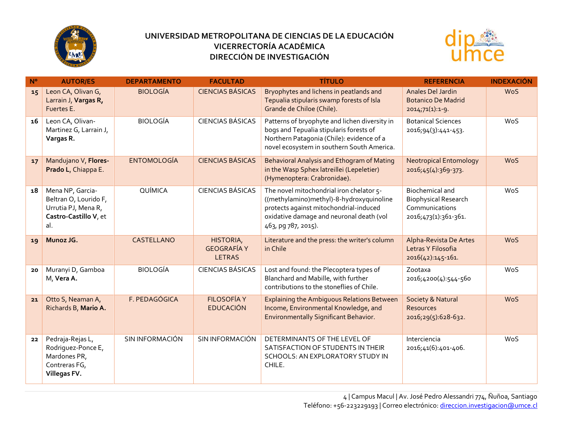



| $N^{\circ}$ | <b>AUTOR/ES</b>                                                                                  | <b>DEPARTAMENTO</b> | <b>FACULTAD</b>                                  | <b>TÍTULO</b>                                                                                                                                                                                     | <b>REFERENCIA</b>                                                                               | <b>INDEXACIÓN</b> |
|-------------|--------------------------------------------------------------------------------------------------|---------------------|--------------------------------------------------|---------------------------------------------------------------------------------------------------------------------------------------------------------------------------------------------------|-------------------------------------------------------------------------------------------------|-------------------|
| 15          | Leon CA, Olivan G,<br>Larrain J, Vargas R,<br>Fuertes E.                                         | <b>BIOLOGÍA</b>     | <b>CIENCIAS BÁSICAS</b>                          | Bryophytes and lichens in peatlands and<br>Tepualia stipularis swamp forests of Isla<br>Grande de Chiloe (Chile).                                                                                 | Anales Del Jardin<br><b>Botanico De Madrid</b><br>$2014,71(1):1-9.$                             | <b>WoS</b>        |
| 16          | Leon CA, Olivan-<br>Martinez G, Larrain J,<br>Vargas R.                                          | <b>BIOLOGÍA</b>     | <b>CIENCIAS BÁSICAS</b>                          | Patterns of bryophyte and lichen diversity in<br>bogs and Tepualia stipularis forests of<br>Northern Patagonia (Chile): evidence of a<br>novel ecosystem in southern South America.               | <b>Botanical Sciences</b><br>2016;94(3):441-453.                                                | WoS               |
| 17          | Mandujano V, Flores-<br>Prado L, Chiappa E.                                                      | <b>ENTOMOLOGÍA</b>  | <b>CIENCIAS BÁSICAS</b>                          | Behavioral Analysis and Ethogram of Mating<br>in the Wasp Sphex latreillei (Lepeletier)<br>(Hymenoptera: Crabronidae).                                                                            | <b>Neotropical Entomology</b><br>2016;45(4):369-373.                                            | <b>WoS</b>        |
| 18          | Mena NP, Garcia-<br>Beltran O, Lourido F,<br>Urrutia PJ, Mena R,<br>Castro-Castillo V, et<br>al. | QUÍMICA             | <b>CIENCIAS BÁSICAS</b>                          | The novel mitochondrial iron chelator 5-<br>((methylamino)methyl)-8-hydroxyquinoline<br>protects against mitochondrial-induced<br>oxidative damage and neuronal death (vol<br>463, pg 787, 2015). | <b>Biochemical and</b><br><b>Biophysical Research</b><br>Communications<br>2016;473(1):361-361. | WoS               |
| 19          | Munoz JG.                                                                                        | CASTELLANO          | HISTORIA,<br><b>GEOGRAFÍA Y</b><br><b>LETRAS</b> | Literature and the press: the writer's column<br>in Chile                                                                                                                                         | Alpha-Revista De Artes<br>Letras Y Filosofia<br>2016(42):145-161.                               | <b>WoS</b>        |
| 20          | Muranyi D, Gamboa<br>M, Vera A.                                                                  | <b>BIOLOGÍA</b>     | <b>CIENCIAS BÁSICAS</b>                          | Lost and found: the Plecoptera types of<br>Blanchard and Mabille, with further<br>contributions to the stoneflies of Chile.                                                                       | Zootaxa<br>2016;4200(4):544-560                                                                 | WoS               |
| 21          | Otto S, Neaman A,<br>Richards B, Mario A.                                                        | F. PEDAGÓGICA       | <b>FILOSOFÍA Y</b><br><b>EDUCACIÓN</b>           | <b>Explaining the Ambiguous Relations Between</b><br>Income, Environmental Knowledge, and<br><b>Environmentally Significant Behavior.</b>                                                         | Society & Natural<br><b>Resources</b><br>2016;29(5):628-632.                                    | WoS               |
| 22          | Pedraja-Rejas L,<br>Rodriguez-Ponce E,<br>Mardones PR,<br>Contreras FG,<br>Villegas FV.          | SIN INFORMACIÓN     | SIN INFORMACIÓN                                  | DETERMINANTS OF THE LEVEL OF<br>SATISFACTION OF STUDENTS IN THEIR<br>SCHOOLS: AN EXPLORATORY STUDY IN<br>CHILE.                                                                                   | Interciencia<br>2016;41(6):401-406.                                                             | WoS               |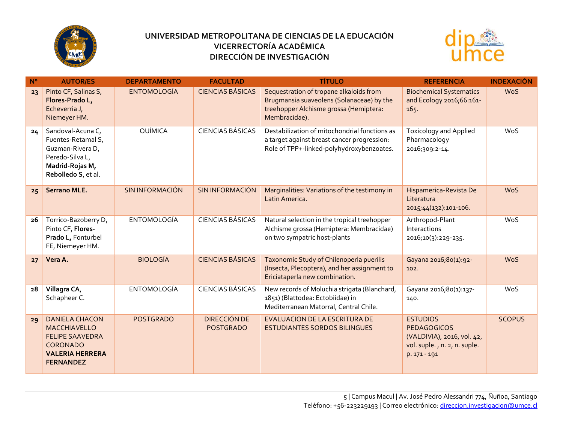



| $N^{\circ}$ | <b>AUTOR/ES</b>                                                                                                                  | <b>DEPARTAMENTO</b>    | <b>FACULTAD</b>                         | <b>TÍTULO</b>                                                                                                                                   | <b>REFERENCIA</b>                                                                                                   | <b>INDEXACIÓN</b> |
|-------------|----------------------------------------------------------------------------------------------------------------------------------|------------------------|-----------------------------------------|-------------------------------------------------------------------------------------------------------------------------------------------------|---------------------------------------------------------------------------------------------------------------------|-------------------|
| 23          | Pinto CF, Salinas S,<br>Flores-Prado L,<br>Echeverria J,<br>Niemeyer HM.                                                         | <b>ENTOMOLOGÍA</b>     | <b>CIENCIAS BÁSICAS</b>                 | Sequestration of tropane alkaloids from<br>Brugmansia suaveolens (Solanaceae) by the<br>treehopper Alchisme grossa (Hemiptera:<br>Membracidae). | <b>Biochemical Systematics</b><br>and Ecology 2016;66:161-<br>165.                                                  | <b>WoS</b>        |
| 24          | Sandoval-Acuna C,<br>Fuentes-Retamal S,<br>Guzman-Rivera D,<br>Peredo-Silva L,<br>Madrid-Rojas M,<br>Rebolledo S, et al.         | QUÍMICA                | <b>CIENCIAS BÁSICAS</b>                 | Destabilization of mitochondrial functions as<br>a target against breast cancer progression:<br>Role of TPP+-linked-polyhydroxybenzoates.       | <b>Toxicology and Applied</b><br>Pharmacology<br>2016;309:2-14.                                                     | WoS               |
| 25          | <b>Serrano MLE.</b>                                                                                                              | <b>SIN INFORMACIÓN</b> | <b>SIN INFORMACIÓN</b>                  | Marginalities: Variations of the testimony in<br>Latin America.                                                                                 | Hispamerica-Revista De<br>Literatura<br>2015;44(132):101-106.                                                       | WoS               |
| 26          | Torrico-Bazoberry D,<br>Pinto CF, Flores-<br>Prado L, Fonturbel<br>FE, Niemeyer HM.                                              | <b>ENTOMOLOGÍA</b>     | <b>CIENCIAS BÁSICAS</b>                 | Natural selection in the tropical treehopper<br>Alchisme grossa (Hemiptera: Membracidae)<br>on two sympatric host-plants                        | Arthropod-Plant<br>Interactions<br>2016;10(3):229-235.                                                              | WoS               |
| 27          | Vera A.                                                                                                                          | <b>BIOLOGÍA</b>        | <b>CIENCIAS BÁSICAS</b>                 | Taxonomic Study of Chilenoperla puerilis<br>(Insecta, Plecoptera), and her assignment to<br>Ericiataperla new combination.                      | Gayana 2016;80(1):92-<br>102.                                                                                       | WoS               |
| 28          | Villagra CA,<br>Schapheer C.                                                                                                     | <b>ENTOMOLOGÍA</b>     | <b>CIENCIAS BÁSICAS</b>                 | New records of Moluchia strigata (Blanchard,<br>1851) (Blattodea: Ectobiidae) in<br>Mediterranean Matorral, Central Chile.                      | Gayana 2016;80(1):137-<br>140.                                                                                      | WoS               |
| 29          | <b>DANIELA CHACON</b><br>MACCHIAVELLO<br><b>FELIPE SAAVEDRA</b><br><b>CORONADO</b><br><b>VALERIA HERRERA</b><br><b>FERNANDEZ</b> | <b>POSTGRADO</b>       | <b>DIRECCIÓN DE</b><br><b>POSTGRADO</b> | <b>EVALUACION DE LA ESCRITURA DE</b><br><b>ESTUDIANTES SORDOS BILINGUES</b>                                                                     | <b>ESTUDIOS</b><br><b>PEDAGOGICOS</b><br>(VALDIVIA), 2016, vol. 42,<br>vol. suple., n. 2, n. suple.<br>p. 171 - 191 | <b>SCOPUS</b>     |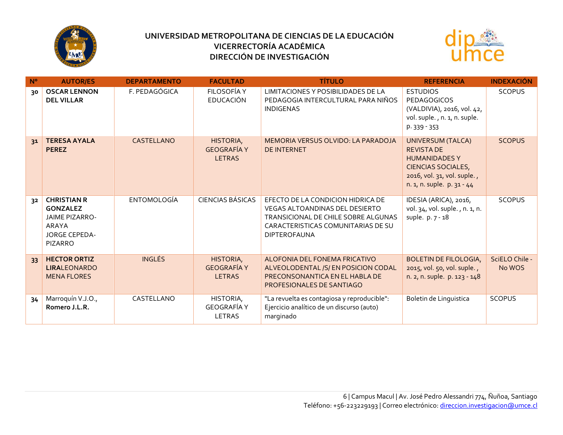



| N <sup>o</sup> | <b>AUTOR/ES</b>                                                                                                   | <b>DEPARTAMENTO</b> | <b>FACULTAD</b>                                  | <b>TÍTULO</b>                                                                                                                                                                  | <b>REFERENCIA</b>                                                                                                                                               | <b>INDEXACIÓN</b>        |
|----------------|-------------------------------------------------------------------------------------------------------------------|---------------------|--------------------------------------------------|--------------------------------------------------------------------------------------------------------------------------------------------------------------------------------|-----------------------------------------------------------------------------------------------------------------------------------------------------------------|--------------------------|
| 30             | <b>OSCAR LENNON</b><br><b>DEL VILLAR</b>                                                                          | F. PEDAGÓGICA       | FILOSOFÍA Y<br><b>EDUCACIÓN</b>                  | LIMITACIONES Y POSIBILIDADES DE LA<br>PEDAGOGIA INTERCULTURAL PARA NIÑOS<br><b>INDIGENAS</b>                                                                                   | <b>ESTUDIOS</b><br><b>PEDAGOGICOS</b><br>(VALDIVIA), 2016, vol. 42,<br>vol. suple., n. 1, n. suple.<br>p. 339 - 353                                             | <b>SCOPUS</b>            |
| 31             | <b>TERESA AYALA</b><br><b>PEREZ</b>                                                                               | CASTELLANO          | HISTORIA,<br><b>GEOGRAFÍA Y</b><br><b>LETRAS</b> | MEMORIA VERSUS OLVIDO: LA PARADOJA<br><b>DE INTERNET</b>                                                                                                                       | <b>UNIVERSUM (TALCA)</b><br><b>REVISTA DE</b><br><b>HUMANIDADES Y</b><br><b>CIENCIAS SOCIALES,</b><br>2016, vol. 31, vol. suple.,<br>n. 1, n. suple. p. 31 - 44 | <b>SCOPUS</b>            |
| 32             | <b>CHRISTIAN R</b><br><b>GONZALEZ</b><br><b>JAIME PIZARRO-</b><br>ARAYA<br><b>JORGE CEPEDA-</b><br><b>PIZARRO</b> | <b>ENTOMOLOGÍA</b>  | <b>CIENCIAS BÁSICAS</b>                          | EFECTO DE LA CONDICION HIDRICA DE<br><b>VEGAS ALTOANDINAS DEL DESIERTO</b><br>TRANSICIONAL DE CHILE SOBRE ALGUNAS<br>CARACTERISTICAS COMUNITARIAS DE SU<br><b>DIPTEROFAUNA</b> | IDESIA (ARICA), 2016,<br>vol. 34, vol. suple., n. 1, n.<br>suple. p. 7 - 18                                                                                     | <b>SCOPUS</b>            |
| 33             | <b>HECTOR ORTIZ</b><br><b>LIRALEONARDO</b><br><b>MENA FLORES</b>                                                  | <b>INGLÉS</b>       | HISTORIA,<br><b>GEOGRAFÍA Y</b><br><b>LETRAS</b> | ALOFONIA DEL FONEMA FRICATIVO<br>ALVEOLODENTAL /S/ EN POSICION CODAL<br>PRECONSONANTICA EN EL HABLA DE<br>PROFESIONALES DE SANTIAGO                                            | <b>BOLETIN DE FILOLOGIA,</b><br>2015, vol. 50, vol. suple.,<br>n. 2, n. suple. p. 123 - 148                                                                     | SciELO Chile -<br>No WOS |
| 34             | Marroquín V.J.O.,<br>Romero J.L.R.                                                                                | CASTELLANO          | HISTORIA,<br><b>GEOGRAFÍA Y</b><br><b>LETRAS</b> | "La revuelta es contagiosa y reproducible":<br>Ejercicio analítico de un discurso (auto)<br>marginado                                                                          | Boletin de Linguistica                                                                                                                                          | <b>SCOPUS</b>            |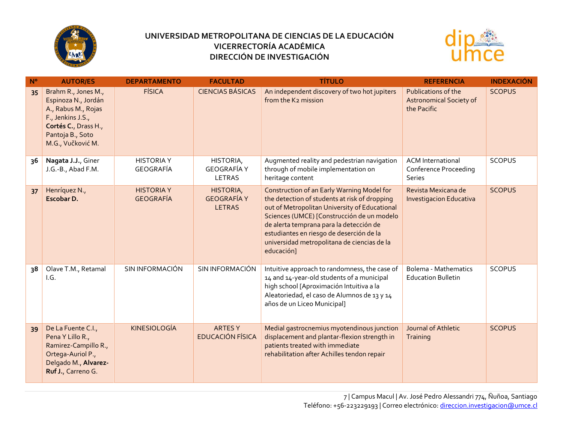



| $N^{\circ}$ | <b>AUTOR/ES</b>                                                                                                                                         | <b>DEPARTAMENTO</b>                   | <b>FACULTAD</b>                                  | <b>TÍTULO</b>                                                                                                                                                                                                                                                                                                                                  | <b>REFERENCIA</b>                                                    | <b>INDEXACIÓN</b> |
|-------------|---------------------------------------------------------------------------------------------------------------------------------------------------------|---------------------------------------|--------------------------------------------------|------------------------------------------------------------------------------------------------------------------------------------------------------------------------------------------------------------------------------------------------------------------------------------------------------------------------------------------------|----------------------------------------------------------------------|-------------------|
| 35          | Brahm R., Jones M.,<br>Espinoza N., Jordán<br>A., Rabus M., Rojas<br>F., Jenkins J.S.,<br>Cortés C., Drass H.,<br>Pantoja B., Soto<br>M.G., Vučković M. | <b>FÍSICA</b>                         | <b>CIENCIAS BÁSICAS</b>                          | An independent discovery of two hot jupiters<br>from the K2 mission                                                                                                                                                                                                                                                                            | Publications of the<br><b>Astronomical Society of</b><br>the Pacific | <b>SCOPUS</b>     |
| 36          | Nagata J.J., Giner<br>J.G.-B., Abad F.M.                                                                                                                | <b>HISTORIA Y</b><br>GEOGRAFÍA        | HISTORIA,<br><b>GEOGRAFÍA Y</b><br>LETRAS        | Augmented reality and pedestrian navigation<br>through of mobile implementation on<br>heritage content                                                                                                                                                                                                                                         | <b>ACM</b> International<br><b>Conference Proceeding</b><br>Series   | <b>SCOPUS</b>     |
| 37          | Henríquez N.,<br>Escobar D.                                                                                                                             | <b>HISTORIA Y</b><br><b>GEOGRAFÍA</b> | HISTORIA,<br><b>GEOGRAFÍA Y</b><br><b>LETRAS</b> | Construction of an Early Warning Model for<br>the detection of students at risk of dropping<br>out of Metropolitan University of Educational<br>Sciences (UMCE) [Construcción de un modelo<br>de alerta temprana para la detección de<br>estudiantes en riesgo de deserción de la<br>universidad metropolitana de ciencias de la<br>educación] | Revista Mexicana de<br><b>Investigacion Educativa</b>                | <b>SCOPUS</b>     |
| 38          | Olave T.M., Retamal<br>I.G.                                                                                                                             | SIN INFORMACIÓN                       | SIN INFORMACIÓN                                  | Intuitive approach to randomness, the case of<br>14 and 14-year-old students of a municipal<br>high school [Aproximación Intuitiva a la<br>Aleatoriedad, el caso de Alumnos de 13 y 14<br>años de un Liceo Municipal]                                                                                                                          | <b>Bolema - Mathematics</b><br><b>Education Bulletin</b>             | <b>SCOPUS</b>     |
| 39          | De La Fuente C.I.,<br>Pena Y Lillo R.,<br>Ramirez-Campillo R.,<br>Ortega-Auriol P.,<br>Delgado M., Alvarez-<br>Ruf J., Carreno G.                       | <b>KINESIOLOGÍA</b>                   | <b>ARTESY</b><br><b>EDUCACIÓN FÍSICA</b>         | Medial gastrocnemius myotendinous junction<br>displacement and plantar-flexion strength in<br>patients treated with immediate<br>rehabilitation after Achilles tendon repair                                                                                                                                                                   | Journal of Athletic<br>Training                                      | <b>SCOPUS</b>     |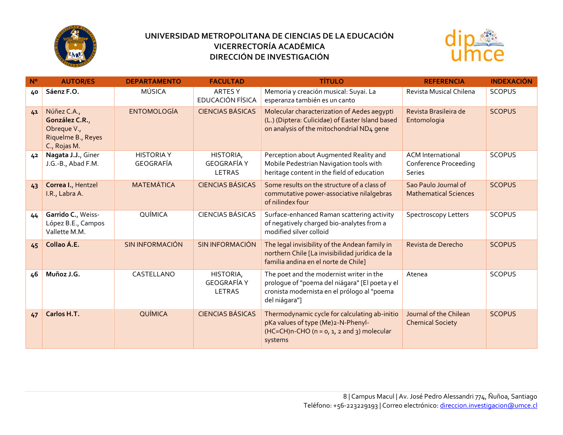



| $N^{\circ}$ | <b>AUTOR/ES</b>                                                                    | <b>DEPARTAMENTO</b>            | <b>FACULTAD</b>                           | <b>TÍTULO</b>                                                                                                                                              | <b>REFERENCIA</b>                                           | <b>INDEXACIÓN</b> |
|-------------|------------------------------------------------------------------------------------|--------------------------------|-------------------------------------------|------------------------------------------------------------------------------------------------------------------------------------------------------------|-------------------------------------------------------------|-------------------|
| 40          | Sáenz F.O.                                                                         | MÚSICA                         | ARTES Y<br>EDUCACIÓN FÍSICA               | Memoria y creación musical: Suyai. La<br>esperanza también es un canto                                                                                     | Revista Musical Chilena                                     | <b>SCOPUS</b>     |
| 41          | Núñez C.A.,<br>González C.R.,<br>Obreque V.,<br>Riquelme B., Reyes<br>C., Rojas M. | <b>ENTOMOLOGÍA</b>             | <b>CIENCIAS BÁSICAS</b>                   | Molecular characterization of Aedes aegypti<br>(L.) (Diptera: Culicidae) of Easter Island based<br>on analysis of the mitochondrial ND4 gene               | Revista Brasileira de<br>Entomologia                        | <b>SCOPUS</b>     |
| 42          | Nagata J.J., Giner<br>J.G.-B., Abad F.M.                                           | <b>HISTORIA Y</b><br>GEOGRAFÍA | HISTORIA,<br><b>GEOGRAFÍA Y</b><br>LETRAS | Perception about Augmented Reality and<br>Mobile Pedestrian Navigation tools with<br>heritage content in the field of education                            | <b>ACM</b> International<br>Conference Proceeding<br>Series | <b>SCOPUS</b>     |
| 43          | Correa I., Hentzel<br>I.R., Labra A.                                               | <b>MATEMÁTICA</b>              | <b>CIENCIAS BÁSICAS</b>                   | Some results on the structure of a class of<br>commutative power-associative nilalgebras<br>of nilindex four                                               | Sao Paulo Journal of<br><b>Mathematical Sciences</b>        | <b>SCOPUS</b>     |
| 44          | Garrido C., Weiss-<br>López B.E., Campos<br>Vallette M.M.                          | QUÍMICA                        | <b>CIENCIAS BÁSICAS</b>                   | Surface-enhanced Raman scattering activity<br>of negatively charged bio-analytes from a<br>modified silver colloid                                         | Spectroscopy Letters                                        | <b>SCOPUS</b>     |
| 45          | Collao Á.E.                                                                        | <b>SIN INFORMACIÓN</b>         | SIN INFORMACIÓN                           | The legal invisibility of the Andean family in<br>northern Chile [La invisibilidad jurídica de la<br>familia andina en el norte de Chile]                  | Revista de Derecho                                          | <b>SCOPUS</b>     |
| 46          | Muñoz J.G.                                                                         | CASTELLANO                     | HISTORIA,<br><b>GEOGRAFÍA Y</b><br>LETRAS | The poet and the modernist writer in the<br>prologue of "poema del niágara" [El poeta y el<br>cronista modernista en el prólogo al "poema<br>del niágara"] | Atenea                                                      | <b>SCOPUS</b>     |
| 47          | Carlos H.T.                                                                        | QUÍMICA                        | <b>CIENCIAS BÁSICAS</b>                   | Thermodynamic cycle for calculating ab-initio<br>pKa values of type (Me)2-N-Phenyl-<br>$(HC=CH)n-CHO$ (n = 0, 1, 2 and 3) molecular<br>systems             | Journal of the Chilean<br><b>Chemical Society</b>           | <b>SCOPUS</b>     |